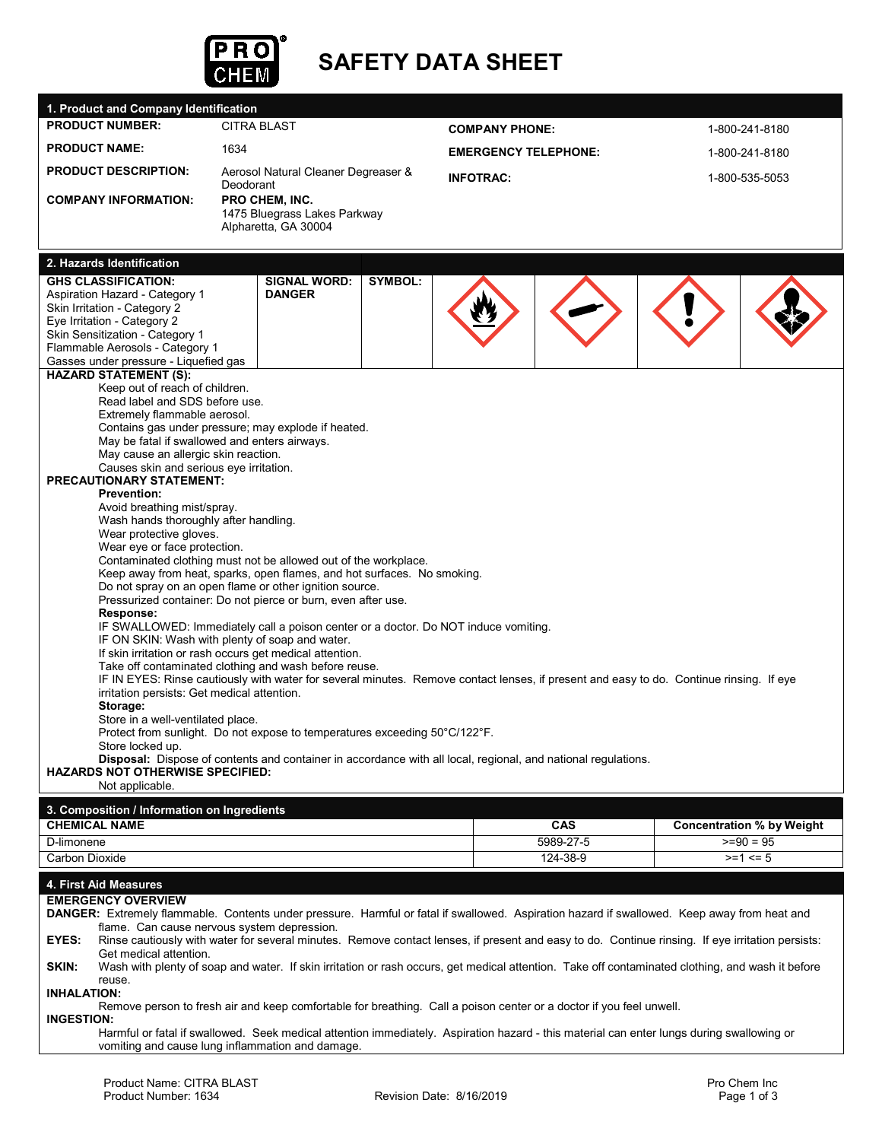

# **SAFETY DATA SHEET**

| 1. Product and Company Identification                                                                                                                                                       |                                                                                                                                         |                       |                             |          |                |                                  |  |
|---------------------------------------------------------------------------------------------------------------------------------------------------------------------------------------------|-----------------------------------------------------------------------------------------------------------------------------------------|-----------------------|-----------------------------|----------|----------------|----------------------------------|--|
| <b>PRODUCT NUMBER:</b>                                                                                                                                                                      | <b>CITRA BLAST</b>                                                                                                                      | <b>COMPANY PHONE:</b> |                             |          | 1-800-241-8180 |                                  |  |
| <b>PRODUCT NAME:</b>                                                                                                                                                                        | 1634                                                                                                                                    |                       | <b>EMERGENCY TELEPHONE:</b> |          | 1-800-241-8180 |                                  |  |
| <b>PRODUCT DESCRIPTION:</b>                                                                                                                                                                 | Aerosol Natural Cleaner Degreaser &                                                                                                     |                       | <b>INFOTRAC:</b>            |          |                | 1-800-535-5053                   |  |
| <b>COMPANY INFORMATION:</b>                                                                                                                                                                 | Deodorant<br>PRO CHEM, INC.<br>1475 Bluegrass Lakes Parkway                                                                             |                       |                             |          |                |                                  |  |
|                                                                                                                                                                                             | Alpharetta, GA 30004                                                                                                                    |                       |                             |          |                |                                  |  |
| 2. Hazards Identification                                                                                                                                                                   |                                                                                                                                         |                       |                             |          |                |                                  |  |
| <b>GHS CLASSIFICATION:</b>                                                                                                                                                                  | <b>SIGNAL WORD:</b>                                                                                                                     | <b>SYMBOL:</b>        |                             |          |                |                                  |  |
| Aspiration Hazard - Category 1                                                                                                                                                              | <b>DANGER</b>                                                                                                                           |                       |                             |          |                |                                  |  |
| Skin Irritation - Category 2                                                                                                                                                                |                                                                                                                                         |                       |                             |          |                |                                  |  |
| Eye Irritation - Category 2<br>Skin Sensitization - Category 1                                                                                                                              |                                                                                                                                         |                       |                             |          |                |                                  |  |
| Flammable Aerosols - Category 1                                                                                                                                                             |                                                                                                                                         |                       |                             |          |                |                                  |  |
| Gasses under pressure - Liquefied gas                                                                                                                                                       |                                                                                                                                         |                       |                             |          |                |                                  |  |
| <b>HAZARD STATEMENT (S):</b>                                                                                                                                                                |                                                                                                                                         |                       |                             |          |                |                                  |  |
| Keep out of reach of children.                                                                                                                                                              |                                                                                                                                         |                       |                             |          |                |                                  |  |
| Read label and SDS before use.<br>Extremely flammable aerosol.                                                                                                                              |                                                                                                                                         |                       |                             |          |                |                                  |  |
|                                                                                                                                                                                             | Contains gas under pressure; may explode if heated.                                                                                     |                       |                             |          |                |                                  |  |
| May be fatal if swallowed and enters airways.                                                                                                                                               |                                                                                                                                         |                       |                             |          |                |                                  |  |
| May cause an allergic skin reaction.<br>Causes skin and serious eye irritation.                                                                                                             |                                                                                                                                         |                       |                             |          |                |                                  |  |
| <b>PRECAUTIONARY STATEMENT:</b>                                                                                                                                                             |                                                                                                                                         |                       |                             |          |                |                                  |  |
| <b>Prevention:</b>                                                                                                                                                                          |                                                                                                                                         |                       |                             |          |                |                                  |  |
| Avoid breathing mist/spray.                                                                                                                                                                 |                                                                                                                                         |                       |                             |          |                |                                  |  |
| Wash hands thoroughly after handling.<br>Wear protective gloves.                                                                                                                            |                                                                                                                                         |                       |                             |          |                |                                  |  |
| Wear eye or face protection.                                                                                                                                                                |                                                                                                                                         |                       |                             |          |                |                                  |  |
|                                                                                                                                                                                             | Contaminated clothing must not be allowed out of the workplace.                                                                         |                       |                             |          |                |                                  |  |
|                                                                                                                                                                                             | Keep away from heat, sparks, open flames, and hot surfaces. No smoking.                                                                 |                       |                             |          |                |                                  |  |
|                                                                                                                                                                                             | Do not spray on an open flame or other ignition source.                                                                                 |                       |                             |          |                |                                  |  |
|                                                                                                                                                                                             | Pressurized container: Do not pierce or burn, even after use.                                                                           |                       |                             |          |                |                                  |  |
| Response:                                                                                                                                                                                   |                                                                                                                                         |                       |                             |          |                |                                  |  |
|                                                                                                                                                                                             | IF SWALLOWED: Immediately call a poison center or a doctor. Do NOT induce vomiting.<br>IF ON SKIN: Wash with plenty of soap and water.  |                       |                             |          |                |                                  |  |
|                                                                                                                                                                                             | If skin irritation or rash occurs get medical attention.                                                                                |                       |                             |          |                |                                  |  |
|                                                                                                                                                                                             | Take off contaminated clothing and wash before reuse.                                                                                   |                       |                             |          |                |                                  |  |
|                                                                                                                                                                                             | IF IN EYES: Rinse cautiously with water for several minutes. Remove contact lenses, if present and easy to do. Continue rinsing. If eye |                       |                             |          |                |                                  |  |
| irritation persists: Get medical attention.                                                                                                                                                 |                                                                                                                                         |                       |                             |          |                |                                  |  |
| Storage:                                                                                                                                                                                    |                                                                                                                                         |                       |                             |          |                |                                  |  |
| Store in a well-ventilated place.                                                                                                                                                           |                                                                                                                                         |                       |                             |          |                |                                  |  |
| Store locked up.                                                                                                                                                                            | Protect from sunlight. Do not expose to temperatures exceeding 50°C/122°F.                                                              |                       |                             |          |                |                                  |  |
|                                                                                                                                                                                             | <b>Disposal:</b> Dispose of contents and container in accordance with all local, regional, and national regulations.                    |                       |                             |          |                |                                  |  |
| <b>HAZARDS NOT OTHERWISE SPECIFIED:</b>                                                                                                                                                     |                                                                                                                                         |                       |                             |          |                |                                  |  |
| Not applicable.                                                                                                                                                                             |                                                                                                                                         |                       |                             |          |                |                                  |  |
| 3. Composition / Information on Ingredients                                                                                                                                                 |                                                                                                                                         |                       |                             |          |                |                                  |  |
| <b>CHEMICAL NAME</b>                                                                                                                                                                        |                                                                                                                                         |                       |                             | CAS      |                | <b>Concentration % by Weight</b> |  |
| D-limonene                                                                                                                                                                                  |                                                                                                                                         |                       | 5989-27-5                   |          | $>=90 = 95$    |                                  |  |
| Carbon Dioxide                                                                                                                                                                              |                                                                                                                                         |                       |                             | 124-38-9 |                | $>= 1 \le 5$                     |  |
| 4. First Aid Measures                                                                                                                                                                       |                                                                                                                                         |                       |                             |          |                |                                  |  |
| <b>EMERGENCY OVERVIEW</b>                                                                                                                                                                   |                                                                                                                                         |                       |                             |          |                |                                  |  |
| DANGER: Extremely flammable. Contents under pressure. Harmful or fatal if swallowed. Aspiration hazard if swallowed. Keep away from heat and<br>flame. Can cause nervous system depression. |                                                                                                                                         |                       |                             |          |                |                                  |  |
| EYES:<br>Rinse cautiously with water for several minutes. Remove contact lenses, if present and easy to do. Continue rinsing. If eye irritation persists:                                   |                                                                                                                                         |                       |                             |          |                |                                  |  |
| Get medical attention.<br>SKIN:<br>Wash with plenty of soap and water. If skin irritation or rash occurs, get medical attention. Take off contaminated clothing, and wash it before         |                                                                                                                                         |                       |                             |          |                |                                  |  |
| reuse.<br><b>INHALATION:</b>                                                                                                                                                                |                                                                                                                                         |                       |                             |          |                |                                  |  |
| Remove person to fresh air and keep comfortable for breathing. Call a poison center or a doctor if you feel unwell.<br><b>INGESTION:</b>                                                    |                                                                                                                                         |                       |                             |          |                |                                  |  |
| Harmful or fatal if swallowed. Seek medical attention immediately. Aspiration hazard - this material can enter lungs during swallowing or                                                   |                                                                                                                                         |                       |                             |          |                |                                  |  |
| vomiting and cause lung inflammation and damage.                                                                                                                                            |                                                                                                                                         |                       |                             |          |                |                                  |  |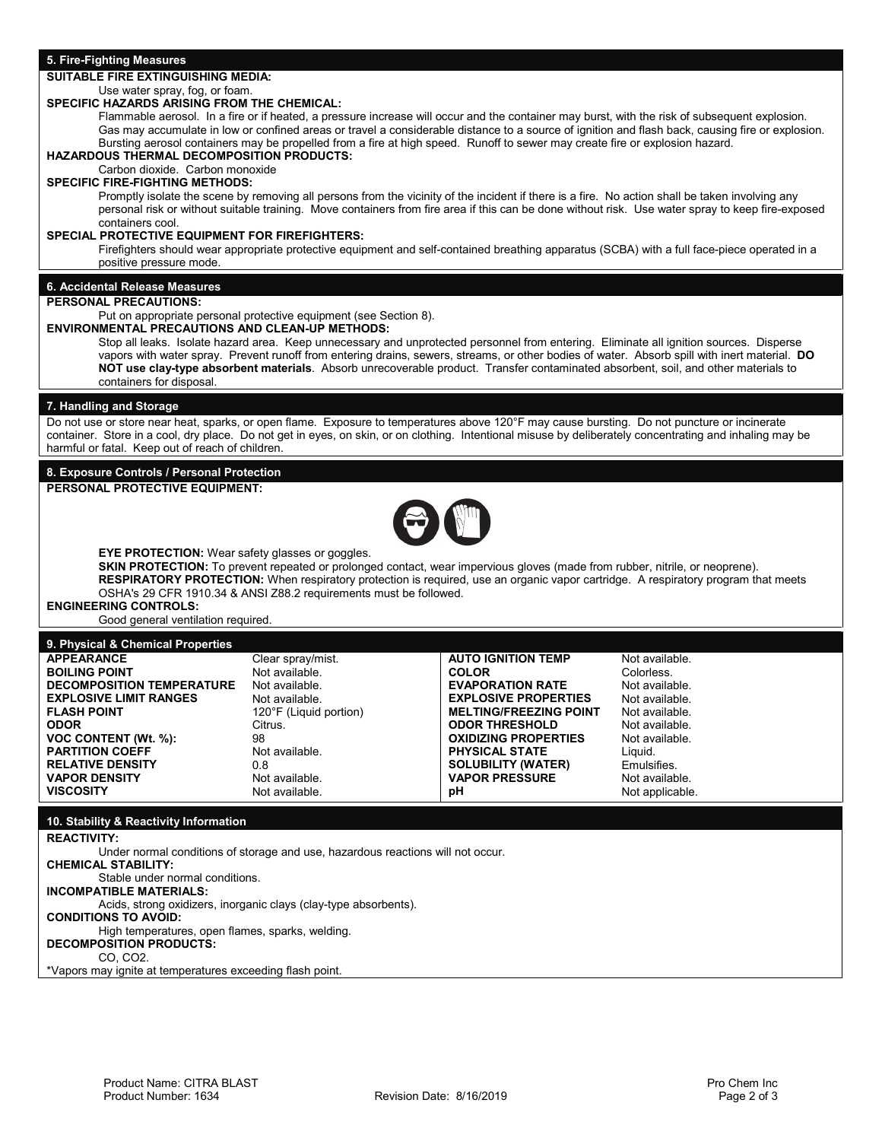|  |  | 5. Fire-Fighting Measures |  |  |  |
|--|--|---------------------------|--|--|--|
|--|--|---------------------------|--|--|--|

# **SUITABLE FIRE EXTINGUISHING MEDIA:**

#### Use water spray, fog, or foam. **SPECIFIC HAZARDS ARISING FROM THE CHEMICAL:**

Flammable aerosol. In a fire or if heated, a pressure increase will occur and the container may burst, with the risk of subsequent explosion. Gas may accumulate in low or confined areas or travel a considerable distance to a source of ignition and flash back, causing fire or explosion. Bursting aerosol containers may be propelled from a fire at high speed. Runoff to sewer may create fire or explosion hazard.

#### **HAZARDOUS THERMAL DECOMPOSITION PRODUCTS:** Carbon dioxide. Carbon monoxide

# **SPECIFIC FIRE-FIGHTING METHODS:**

Promptly isolate the scene by removing all persons from the vicinity of the incident if there is a fire. No action shall be taken involving any personal risk or without suitable training. Move containers from fire area if this can be done without risk. Use water spray to keep fire-exposed containers cool.

### **SPECIAL PROTECTIVE EQUIPMENT FOR FIREFIGHTERS:**

Firefighters should wear appropriate protective equipment and self-contained breathing apparatus (SCBA) with a full face-piece operated in a positive pressure mode.

# **6. Accidental Release Measures**

# **PERSONAL PRECAUTIONS:**

Put on appropriate personal protective equipment (see Section 8).

### **ENVIRONMENTAL PRECAUTIONS AND CLEAN-UP METHODS:**

Stop all leaks. Isolate hazard area. Keep unnecessary and unprotected personnel from entering. Eliminate all ignition sources. Disperse vapors with water spray. Prevent runoff from entering drains, sewers, streams, or other bodies of water. Absorb spill with inert material. **DO NOT use clay-type absorbent materials**. Absorb unrecoverable product. Transfer contaminated absorbent, soil, and other materials to containers for disposal.

### **7. Handling and Storage**

Do not use or store near heat, sparks, or open flame. Exposure to temperatures above 120°F may cause bursting. Do not puncture or incinerate container. Store in a cool, dry place. Do not get in eyes, on skin, or on clothing. Intentional misuse by deliberately concentrating and inhaling may be harmful or fatal. Keep out of reach of children.

### **8. Exposure Controls / Personal Protection**

**PERSONAL PROTECTIVE EQUIPMENT:** 



**EYE PROTECTION:** Wear safety glasses or goggles.

**SKIN PROTECTION:** To prevent repeated or prolonged contact, wear impervious gloves (made from rubber, nitrile, or neoprene). **RESPIRATORY PROTECTION:** When respiratory protection is required, use an organic vapor cartridge. A respiratory program that meets OSHA's 29 CFR 1910.34 & ANSI Z88.2 requirements must be followed.

# **ENGINEERING CONTROLS:**

Good general ventilation required.

### **9. Physical & Chemical Properties**

| <b>APPEARANCE</b>                | Clear spray/mist.      | <b>AUTO IGNITION TEMP</b>     | Not available.  |
|----------------------------------|------------------------|-------------------------------|-----------------|
| <b>BOILING POINT</b>             | Not available.         | <b>COLOR</b>                  | Colorless.      |
| <b>DECOMPOSITION TEMPERATURE</b> | Not available.         | <b>EVAPORATION RATE</b>       | Not available.  |
| <b>EXPLOSIVE LIMIT RANGES</b>    | Not available.         | <b>EXPLOSIVE PROPERTIES</b>   | Not available.  |
| <b>FLASH POINT</b>               | 120°F (Liquid portion) | <b>MELTING/FREEZING POINT</b> | Not available.  |
| <b>ODOR</b>                      | Citrus.                | <b>ODOR THRESHOLD</b>         | Not available.  |
| <b>VOC CONTENT (Wt. %):</b>      | 98                     | <b>OXIDIZING PROPERTIES</b>   | Not available.  |
| <b>PARTITION COEFF</b>           | Not available.         | <b>PHYSICAL STATE</b>         | Liauid.         |
| <b>RELATIVE DENSITY</b>          | 0.8                    | <b>SOLUBILITY (WATER)</b>     | Emulsifies.     |
| <b>VAPOR DENSITY</b>             | Not available.         | <b>VAPOR PRESSURE</b>         | Not available.  |
| <b>VISCOSITY</b>                 | Not available.         | рH                            | Not applicable. |

### **10. Stability & Reactivity Information**

**REACTIVITY:** 

Under normal conditions of storage and use, hazardous reactions will not occur.

**CHEMICAL STABILITY:** 

Stable under normal conditions.

# **INCOMPATIBLE MATERIALS:**

Acids, strong oxidizers, inorganic clays (clay-type absorbents).

# **CONDITIONS TO AVOID:**

High temperatures, open flames, sparks, welding.

**DECOMPOSITION PRODUCTS:** 

CO, CO2.

\*Vapors may ignite at temperatures exceeding flash point.